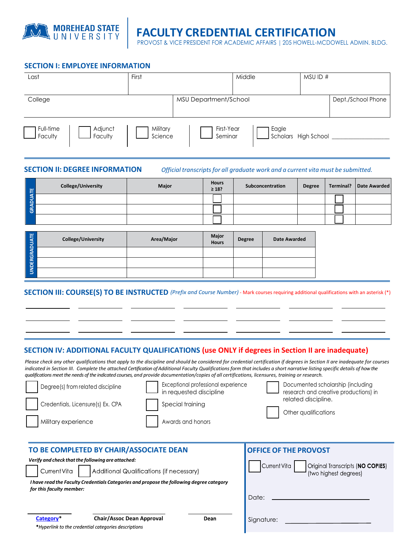

# **FACULTY CREDENTIAL CERTIFICATION**

PROVOST & VICE PRESIDENT FOR ACADEMIC AFFAIRS | 205 HOWELL-MCDOWELL ADMIN. BLDG.

#### **SECTION I: EMPLOYEE INFORMATION**

| Last                                       | First               |                       | Middle | MSU ID #             |                    |
|--------------------------------------------|---------------------|-----------------------|--------|----------------------|--------------------|
|                                            |                     |                       |        |                      |                    |
| College                                    |                     | MSU Department/School |        |                      | Dept./School Phone |
|                                            |                     |                       |        |                      |                    |
| Full-time<br>Adjunct<br>Faculty<br>Faculty | Military<br>Science | First-Year<br>Seminar | Eagle  | Scholars High School |                    |

**SECTION II: DEGREE INFORMATION** *Official transcripts for all graduate work and a current vita must be submitted.*

| -141 | College/University | Major | <b>Hours</b><br>$\geq 18$ ? | Subconcentration | <b>Degree</b> | Terminal?   Date Awarded |
|------|--------------------|-------|-----------------------------|------------------|---------------|--------------------------|
|      |                    |       |                             |                  |               |                          |
| l&i  |                    |       |                             |                  |               |                          |
|      |                    |       |                             |                  |               |                          |

| L<br>- 2       | <b>College/University</b> | Area/Major | <b>Major</b><br><b>Hours</b> | <b>Degree</b> | <b>Date Awarded</b> |
|----------------|---------------------------|------------|------------------------------|---------------|---------------------|
| டங             |                           |            |                              |               |                     |
| <b>DERG</b>    |                           |            |                              |               |                     |
| $\overline{5}$ |                           |            |                              |               |                     |

#### **SECTION III: COURSE(S) TO BE INSTRUCTED** *(Prefix and Course Number)* - Mark courses requiring additional qualifications with an asterisk (\*)

### **SECTION IV: ADDITIONAL FACULTY QUALIFICATIONS (use ONLY if degrees in Section II are inadequate)**

Please check any other qualifications that apply to the discipline and should be considered for credential certification if degrees in Section II are inadequate for courses indicated in Section III. Complete the attached Certification of Additional Faculty Qualifications form that includes a short narrative listing specific details of how the *qualifications meet the needs of the indicated courses, and provide documentation/copies of all certifications, licensures, training or research.*

| Degree(s) from related discipline<br>Credentials, Licensure(s) Ex. CPA<br>Military experience                                                            | Exceptional professional experience<br>in requested discipline<br>Special training<br>Awards and honors | Documented scholarship (including<br>research and creative productions) in<br>related discipline.<br>Other qualifications |  |
|----------------------------------------------------------------------------------------------------------------------------------------------------------|---------------------------------------------------------------------------------------------------------|---------------------------------------------------------------------------------------------------------------------------|--|
| TO BE COMPLETED BY CHAIR/ASSOCIATE DEAN<br>Verify and check that the following are attached:<br>Additional Qualifications (if necessary)<br>Current Vita | <b>OFFICE OF THE PROVOST</b><br>Original Transcripts (NO COPIES)<br>Current Vita                        |                                                                                                                           |  |
| I have read the Faculty Credentials Categories and propose the following degree category<br>for this faculty member:                                     | (two highest degrees)<br>Date:                                                                          |                                                                                                                           |  |
| Category <sup>*</sup><br><b>Chair/Assoc Dean Approval</b><br>*Hyperlink to the credential categories descriptions                                        | Dean                                                                                                    | Signature:                                                                                                                |  |